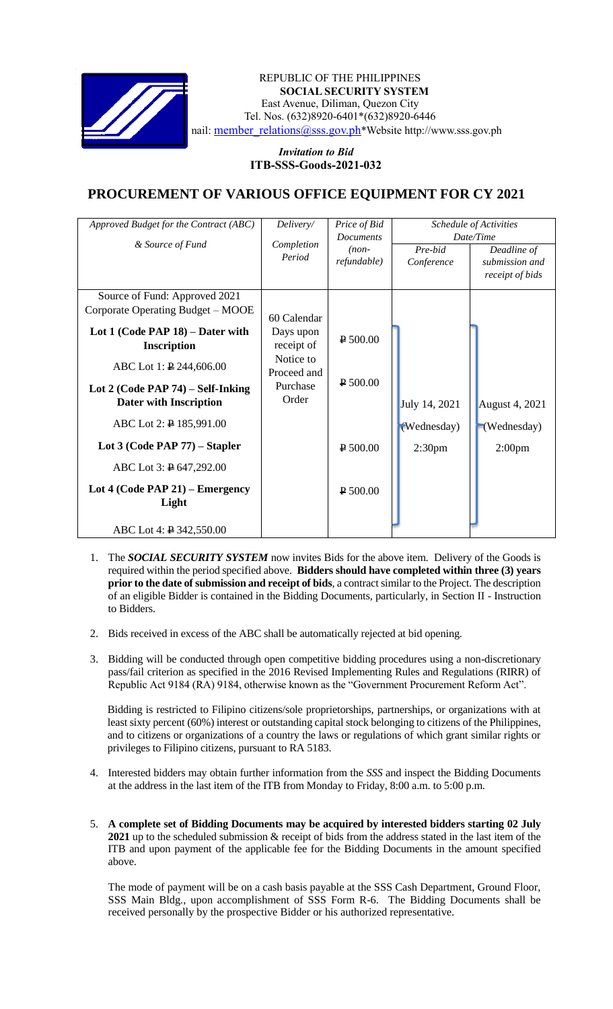

## REPUBLIC OF THE PHILIPPINES **SOCIAL SECURITY SYSTEM** East Avenue, Diliman, Quezon City Tel. Nos. (632)8920-6401\*(632)8920-6446 nail: [member\\_relations@sss.gov.ph](mailto:member_relations@sss.gov.ph)\*Website http://www.sss.gov.ph

## *Invitation to Bid*  **ITB-SSS-Goods-2021-032**

## **PROCUREMENT OF VARIOUS OFFICE EQUIPMENT FOR CY 2021**

|             |                                                                                                      | Schedule of Activities                                               |                                                                  |
|-------------|------------------------------------------------------------------------------------------------------|----------------------------------------------------------------------|------------------------------------------------------------------|
|             | <b>Documents</b>                                                                                     | Date/Time                                                            |                                                                  |
|             | $(non-$                                                                                              | Pre-bid                                                              | Deadline of                                                      |
|             | refundable)                                                                                          |                                                                      | submission and                                                   |
|             |                                                                                                      |                                                                      | receipt of bids                                                  |
|             |                                                                                                      |                                                                      |                                                                  |
|             |                                                                                                      |                                                                      |                                                                  |
|             |                                                                                                      |                                                                      |                                                                  |
| 60 Calendar |                                                                                                      |                                                                      |                                                                  |
|             |                                                                                                      |                                                                      |                                                                  |
|             |                                                                                                      |                                                                      |                                                                  |
|             |                                                                                                      |                                                                      |                                                                  |
|             |                                                                                                      |                                                                      |                                                                  |
|             |                                                                                                      |                                                                      |                                                                  |
|             |                                                                                                      |                                                                      |                                                                  |
| Order       |                                                                                                      |                                                                      | <b>August 4, 2021</b>                                            |
|             |                                                                                                      |                                                                      |                                                                  |
|             |                                                                                                      |                                                                      | (Wednesday)                                                      |
|             |                                                                                                      |                                                                      |                                                                  |
|             | $P$ 500.00                                                                                           |                                                                      | 2:00 <sub>pm</sub>                                               |
|             |                                                                                                      |                                                                      |                                                                  |
|             |                                                                                                      |                                                                      |                                                                  |
|             |                                                                                                      |                                                                      |                                                                  |
|             |                                                                                                      |                                                                      |                                                                  |
|             |                                                                                                      |                                                                      |                                                                  |
|             |                                                                                                      |                                                                      |                                                                  |
|             |                                                                                                      |                                                                      |                                                                  |
|             | Delivery/<br>Completion<br>Period<br>Days upon<br>receipt of<br>Notice to<br>Proceed and<br>Purchase | Price of Bid<br>$\sqrt{2}$ 500.00<br>$\sqrt{P} 500.00$<br>$P$ 500.00 | Conference<br>July 14, 2021<br>(Wednesday)<br>2:30 <sub>pm</sub> |

- 1. The *SOCIAL SECURITY SYSTEM* now invites Bids for the above item. Delivery of the Goods is required within the period specified above. **Bidders should have completed within three (3) years prior to the date of submission and receipt of bids**, a contract similar to the Project. The description of an eligible Bidder is contained in the Bidding Documents, particularly, in Section II - Instruction to Bidders.
- 2. Bids received in excess of the ABC shall be automatically rejected at bid opening.
- 3. Bidding will be conducted through open competitive bidding procedures using a non-discretionary pass/fail criterion as specified in the 2016 Revised Implementing Rules and Regulations (RIRR) of Republic Act 9184 (RA) 9184, otherwise known as the "Government Procurement Reform Act".

Bidding is restricted to Filipino citizens/sole proprietorships, partnerships, or organizations with at least sixty percent (60%) interest or outstanding capital stock belonging to citizens of the Philippines, and to citizens or organizations of a country the laws or regulations of which grant similar rights or privileges to Filipino citizens, pursuant to RA 5183.

- 4. Interested bidders may obtain further information from the *SSS* and inspect the Bidding Documents at the address in the last item of the ITB from Monday to Friday, 8:00 a.m. to 5:00 p.m.
- 5. **A complete set of Bidding Documents may be acquired by interested bidders starting 02 July 2021** up to the scheduled submission & receipt of bids from the address stated in the last item of the ITB and upon payment of the applicable fee for the Bidding Documents in the amount specified above.

The mode of payment will be on a cash basis payable at the SSS Cash Department, Ground Floor, SSS Main Bldg., upon accomplishment of SSS Form R-6. The Bidding Documents shall be received personally by the prospective Bidder or his authorized representative.